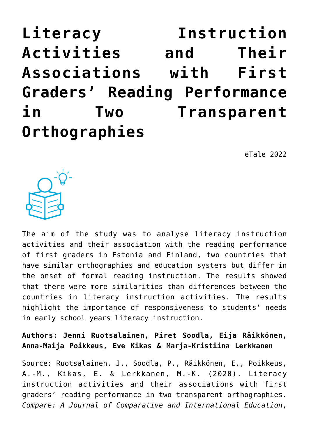**[Literacy Instruction](https://dev.taleafrica.com/2021/06/03/literacy-instruction-activities-and-their-associations-with-first-graders-reading-performance-in-two-transparent-orthographies/) [Activities and Their](https://dev.taleafrica.com/2021/06/03/literacy-instruction-activities-and-their-associations-with-first-graders-reading-performance-in-two-transparent-orthographies/) [Associations with First](https://dev.taleafrica.com/2021/06/03/literacy-instruction-activities-and-their-associations-with-first-graders-reading-performance-in-two-transparent-orthographies/) [Graders' Reading Performance](https://dev.taleafrica.com/2021/06/03/literacy-instruction-activities-and-their-associations-with-first-graders-reading-performance-in-two-transparent-orthographies/) [in Two Transparent](https://dev.taleafrica.com/2021/06/03/literacy-instruction-activities-and-their-associations-with-first-graders-reading-performance-in-two-transparent-orthographies/) [Orthographies](https://dev.taleafrica.com/2021/06/03/literacy-instruction-activities-and-their-associations-with-first-graders-reading-performance-in-two-transparent-orthographies/)**

eTale 2022



The aim of the study was to analyse literacy instruction activities and their association with the reading performance of first graders in Estonia and Finland, two countries that have similar orthographies and education systems but differ in the onset of formal reading instruction. The results showed that there were more similarities than differences between the countries in literacy instruction activities. The results highlight the importance of responsiveness to students' needs in early school years literacy instruction.

**Authors: Jenni Ruotsalainen, Piret Soodla, Eija Räikkönen, Anna-Maija Poikkeus, Eve Kikas & Marja-Kristiina Lerkkanen**

Source: Ruotsalainen, J., Soodla, P., Räikkönen, E., Poikkeus, A.-M., Kikas, E. & Lerkkanen, M.-K. (2020). Literacy instruction activities and their associations with first graders' reading performance in two transparent orthographies. *Compare: A Journal of Comparative and International Education*,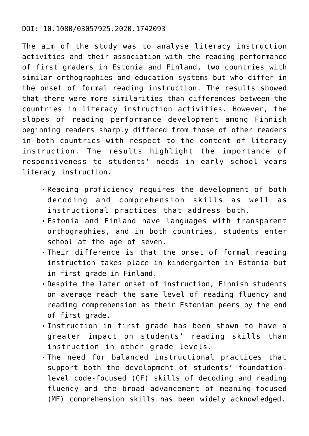### DOI: 10.1080/03057925.2020.1742093

The aim of the study was to analyse literacy instruction activities and their association with the reading performance of first graders in Estonia and Finland, two countries with similar orthographies and education systems but who differ in the onset of formal reading instruction. The results showed that there were more similarities than differences between the countries in literacy instruction activities. However, the slopes of reading performance development among Finnish beginning readers sharply differed from those of other readers in both countries with respect to the content of literacy instruction. The results highlight the importance of responsiveness to students' needs in early school years literacy instruction.

- Reading proficiency requires the development of both decoding and comprehension skills as well as instructional practices that address both.
- Estonia and Finland have languages with transparent orthographies, and in both countries, students enter school at the age of seven.
- Their difference is that the onset of formal reading instruction takes place in kindergarten in Estonia but in first grade in Finland.
- Despite the later onset of instruction, Finnish students on average reach the same level of reading fluency and reading comprehension as their Estonian peers by the end of first grade.
- Instruction in first grade has been shown to have a greater impact on students' reading skills than instruction in other grade levels.
- The need for balanced instructional practices that support both the development of students' foundationlevel code-focused (CF) skills of decoding and reading fluency and the broad advancement of meaning-focused (MF) comprehension skills has been widely acknowledged.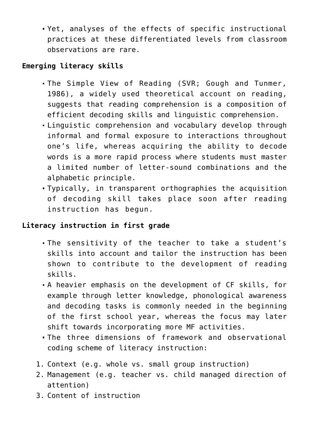Yet, analyses of the effects of specific instructional practices at these differentiated levels from classroom observations are rare.

# **Emerging literacy skills**

- The Simple View of Reading (SVR; Gough and Tunmer, 1986), a widely used theoretical account on reading, suggests that reading comprehension is a composition of efficient decoding skills and linguistic comprehension.
- Linguistic comprehension and vocabulary develop through informal and formal exposure to interactions throughout one's life, whereas acquiring the ability to decode words is a more rapid process where students must master a limited number of letter-sound combinations and the alphabetic principle.
- Typically, in transparent orthographies the acquisition of decoding skill takes place soon after reading instruction has begun.

## **Literacy instruction in first grade**

- The sensitivity of the teacher to take a student's skills into account and tailor the instruction has been shown to contribute to the development of reading skills.
- A heavier emphasis on the development of CF skills, for example through letter knowledge, phonological awareness and decoding tasks is commonly needed in the beginning of the first school year, whereas the focus may later shift towards incorporating more MF activities.
- The three dimensions of framework and observational coding scheme of literacy instruction:
- 1. Context (e.g. whole vs. small group instruction)
- 2. Management (e.g. teacher vs. child managed direction of attention)
- 3. Content of instruction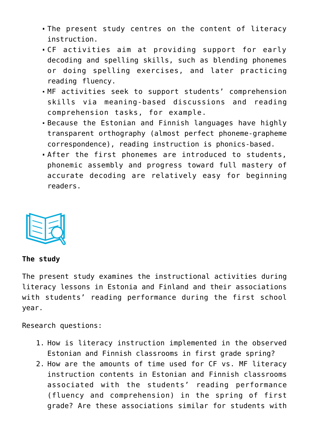- The present study centres on the content of literacy instruction.
- CF activities aim at providing support for early decoding and spelling skills, such as blending phonemes or doing spelling exercises, and later practicing reading fluency.
- MF activities seek to support students' comprehension skills via meaning-based discussions and reading comprehension tasks, for example.
- Because the Estonian and Finnish languages have highly transparent orthography (almost perfect phoneme-grapheme correspondence), reading instruction is phonics-based.
- After the first phonemes are introduced to students, phonemic assembly and progress toward full mastery of accurate decoding are relatively easy for beginning readers.



#### **The study**

The present study examines the instructional activities during literacy lessons in Estonia and Finland and their associations with students' reading performance during the first school year.

Research questions:

- 1. How is literacy instruction implemented in the observed Estonian and Finnish classrooms in first grade spring?
- 2. How are the amounts of time used for CF vs. MF literacy instruction contents in Estonian and Finnish classrooms associated with the students' reading performance (fluency and comprehension) in the spring of first grade? Are these associations similar for students with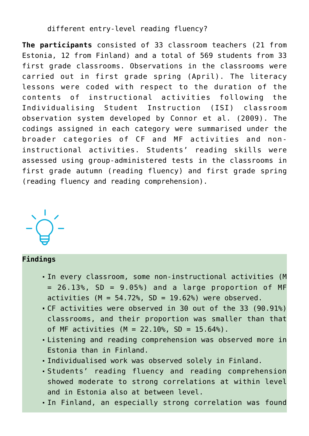different entry-level reading fluency?

**The participants** consisted of 33 classroom teachers (21 from Estonia, 12 from Finland) and a total of 569 students from 33 first grade classrooms. Observations in the classrooms were carried out in first grade spring (April). The literacy lessons were coded with respect to the duration of the contents of instructional activities following the Individualising Student Instruction (ISI) classroom observation system developed by Connor et al. (2009). The codings assigned in each category were summarised under the broader categories of CF and MF activities and noninstructional activities. Students' reading skills were assessed using group-administered tests in the classrooms in first grade autumn (reading fluency) and first grade spring (reading fluency and reading comprehension).



#### **Findings**

- In every classroom, some non-instructional activities (M  $= 26.13$ %, SD  $= 9.05$ %) and a large proportion of MF activities  $(M = 54.72\%)$  subsetsed.
- CF activities were observed in 30 out of the 33 (90.91%) classrooms, and their proportion was smaller than that of MF activities  $(M = 22.10\%$ , SD = 15.64%).
- Listening and reading comprehension was observed more in Estonia than in Finland.
- Individualised work was observed solely in Finland.
- Students' reading fluency and reading comprehension showed moderate to strong correlations at within level and in Estonia also at between level.
- In Finland, an especially strong correlation was found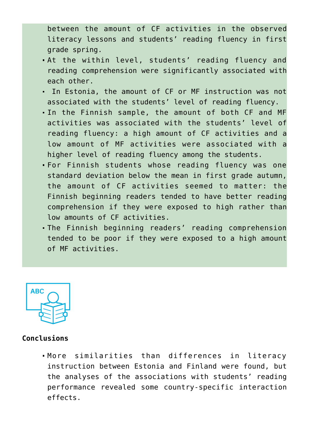between the amount of CF activities in the observed literacy lessons and students' reading fluency in first grade spring.

- At the within level, students' reading fluency and reading comprehension were significantly associated with each other.
- In Estonia, the amount of CF or MF instruction was not associated with the students' level of reading fluency.
- In the Finnish sample, the amount of both CF and MF activities was associated with the students' level of reading fluency: a high amount of CF activities and a low amount of MF activities were associated with a higher level of reading fluency among the students.
- For Finnish students whose reading fluency was one standard deviation below the mean in first grade autumn, the amount of CF activities seemed to matter: the Finnish beginning readers tended to have better reading comprehension if they were exposed to high rather than low amounts of CF activities.
- The Finnish beginning readers' reading comprehension tended to be poor if they were exposed to a high amount of MF activities.



## **Conclusions**

More similarities than differences in literacy instruction between Estonia and Finland were found, but the analyses of the associations with students' reading performance revealed some country-specific interaction effects.